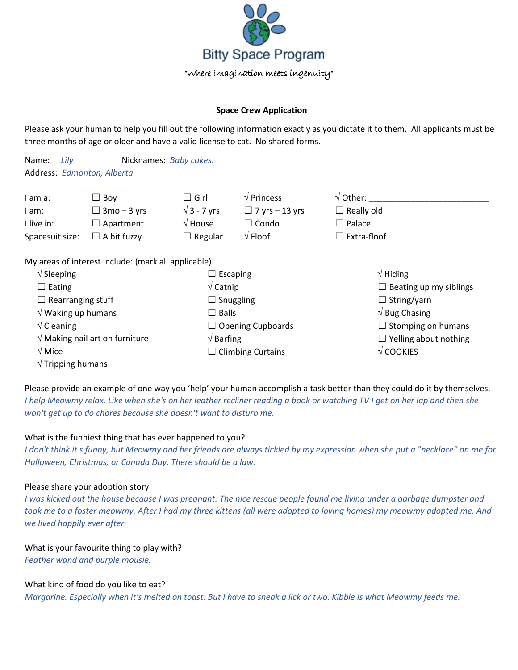

## **Space Crew Application**

Please ask your human to help you fill out the following information exactly as you dictate it to them. All applicants must be three months of age or older and have a valid license to cat. No shared forms.

Name: *Lily* Nicknames: *Baby cakes.* Address: *Edmonton, Alberta*

| I am a:         | - Bov ا            | $\Box$ Girl        | $\sqrt{P}$ Princess   | $\sqrt{}$ Other:  |
|-----------------|--------------------|--------------------|-----------------------|-------------------|
| I am:           | $\Box$ 3mo – 3 yrs | $\sqrt{3}$ - 7 vrs | $\Box$ 7 vrs – 13 vrs | $\Box$ Really old |
| I live in:      | $\Box$ Apartment   | $\sqrt{ }$ House   | $\lrcorner$ Condo     | Palace            |
| Spacesuit size: | $\Box$ A bit fuzzy | $\Box$ Regular     | $\sqrt{F}$ Floof      | l Extra-floof     |

My areas of interest include: (mark all applicable)

| $\sqrt{\phantom{a}}$ Sleeping<br>$\Box$ Escaping |                          | $\sqrt{}$ Hiding              |
|--------------------------------------------------|--------------------------|-------------------------------|
| $\Box$ Eating                                    | $\sqrt{\mathsf{Catnip}}$ | $\Box$ Beating up my siblings |
| $\Box$ Rearranging stuff                         | $\Box$ Snuggling         | $\Box$ String/yarn            |
| $\sqrt{}$ Waking up humans                       | $\Box$ Balls             | $\sqrt{B}$ Bug Chasing        |
| $\sqrt{\frac{1}{2}}$ Cleaning                    | $\Box$ Opening Cupboards | $\Box$ Stomping on humans     |
| $\sqrt{2}$ Making nail art on furniture          | $\sqrt{B}$ Barfing       | $\Box$ Yelling about nothing  |
| $\sqrt{M}$ Mice                                  | $\Box$ Climbing Curtains | $\sqrt{\text{COOKIES}}$       |
| $\sqrt{}$ Tripping humans                        |                          |                               |

Please provide an example of one way you 'help' your human accomplish a task better than they could do it by themselves. *I help Meowmy relax. Like when she's on her leather recliner reading a book or watching TV I get on her lap and then she won't get up to do chores because she doesn't want to disturb me.*

## What is the funniest thing that has ever happened to you?

*I don't think it's funny, but Meowmy and her friends are always tickled by my expression when she put a "necklace" on me for Halloween, Christmas, or Canada Day. There should be a law.*

## Please share your adoption story

*I* was kicked out the house because I was pregnant. The nice rescue people found me living under a garbage dumpster and *took me to a foster meowmy. After I had my three kittens (all were adopted to loving homes) my meowmy adopted me. And we lived happily ever after.*

What is your favourite thing to play with? *Feather wand and purple mousie.*

## What kind of food do you like to eat?

*Margarine. Especially when it's melted on toast. But I have to sneak a lick or two. Kibble is what Meowmy feeds me.*